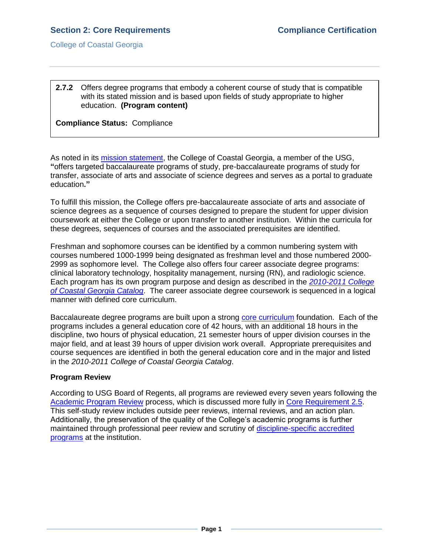College of Coastal Georgia

# **2.7.2** Offers degree programs that embody a coherent course of study that is compatible with its stated mission and is based upon fields of study appropriate to higher education. **(Program content)**

# **Compliance Status:** Compliance

As noted in its [mission statement,](MissionVisionValues.pdf#page=1) the College of Coastal Georgia, a member of the USG, **"**offers targeted baccalaureate programs of study, pre-baccalaureate programs of study for transfer, associate of arts and associate of science degrees and serves as a portal to graduate education**."**

To fulfill this mission, the College offers pre-baccalaureate associate of arts and associate of science degrees as a sequence of courses designed to prepare the student for upper division coursework at either the College or upon transfer to another institution. Within the curricula for these degrees, sequences of courses and the associated prerequisites are identified.

Freshman and sophomore courses can be identified by a common numbering system with courses numbered 1000-1999 being designated as freshman level and those numbered 2000- 2999 as sophomore level. The College also offers four career associate degree programs: clinical laboratory technology, hospitality management, nursing (RN), and radiologic science. Each program has its own program purpose and design as described in the *[2010-2011 College](CCGAcatalog.pdf#page=1)  [of Coastal Georgia Catalog](CCGAcatalog.pdf#page=1)*. The career associate degree coursework is sequenced in a logical manner with defined core curriculum.

Baccalaureate degree programs are built upon a strong [core curriculum](2.7.2.eCoreCurriculum.pdf#page=1) foundation. Each of the programs includes a general education core of 42 hours, with an additional 18 hours in the discipline, two hours of physical education, 21 semester hours of upper division courses in the major field, and at least 39 hours of upper division work overall. Appropriate prerequisites and course sequences are identified in both the general education core and in the major and listed in the *2010-2011 College of Coastal Georgia Catalog*.

# **Program Review**

According to USG Board of Regents, all programs are reviewed every seven years following the [Academic Program Review](2.7.2.cUSGAAhandbook2.3.6.pdf#page=3) process, which is discussed more fully in [Core Requirement 2.5.](2.5.pdf#page=1) This self-study review includes outside peer reviews, internal reviews, and an action plan. Additionally, the preservation of the quality of the College's academic programs is further maintained through professional peer review and scrutiny of [discipline-specific accredited](ProgramSpecialAccreditation.pdf#page=1)  [programs](ProgramSpecialAccreditation.pdf#page=1) at the institution.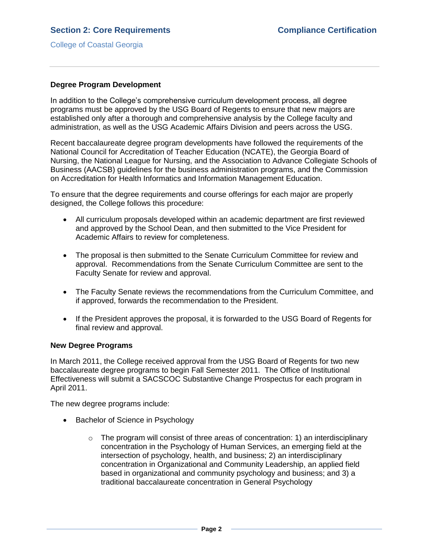College of Coastal Georgia

## **Degree Program Development**

In addition to the College's comprehensive curriculum development process, all degree programs must be approved by the USG Board of Regents to ensure that new majors are established only after a thorough and comprehensive analysis by the College faculty and administration, as well as the USG Academic Affairs Division and peers across the USG.

Recent baccalaureate degree program developments have followed the requirements of the National Council for Accreditation of Teacher Education (NCATE), the Georgia Board of Nursing, the National League for Nursing, and the Association to Advance Collegiate Schools of Business (AACSB) guidelines for the business administration programs, and the Commission on Accreditation for Health Informatics and Information Management Education.

To ensure that the degree requirements and course offerings for each major are properly designed, the College follows this procedure:

- All curriculum proposals developed within an academic department are first reviewed and approved by the School Dean, and then submitted to the Vice President for Academic Affairs to review for completeness.
- The proposal is then submitted to the Senate Curriculum Committee for review and approval. Recommendations from the Senate Curriculum Committee are sent to the Faculty Senate for review and approval.
- The Faculty Senate reviews the recommendations from the Curriculum Committee, and if approved, forwards the recommendation to the President.
- If the President approves the proposal, it is forwarded to the USG Board of Regents for final review and approval.

#### **New Degree Programs**

In March 2011, the College received approval from the USG Board of Regents for two new baccalaureate degree programs to begin Fall Semester 2011. The Office of Institutional Effectiveness will submit a SACSCOC Substantive Change Prospectus for each program in April 2011.

The new degree programs include:

- Bachelor of Science in Psychology
	- $\circ$  The program will consist of three areas of concentration: 1) an interdisciplinary concentration in the Psychology of Human Services, an emerging field at the intersection of psychology, health, and business; 2) an interdisciplinary concentration in Organizational and Community Leadership, an applied field based in organizational and community psychology and business; and 3) a traditional baccalaureate concentration in General Psychology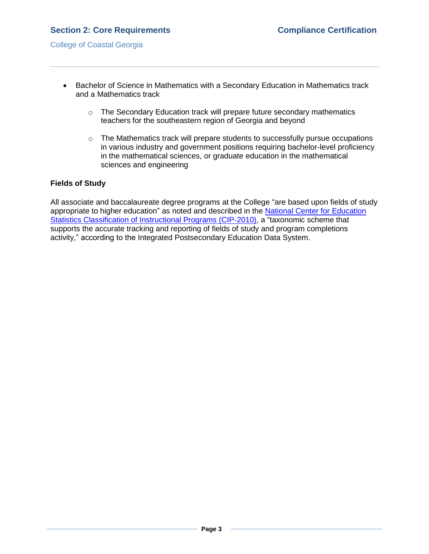# **Section 2: Core Requirements Compliance Certification**

- Bachelor of Science in Mathematics with a Secondary Education in Mathematics track and a Mathematics track
	- o The Secondary Education track will prepare future secondary mathematics teachers for the southeastern region of Georgia and beyond
	- o The Mathematics track will prepare students to successfully pursue occupations in various industry and government positions requiring bachelor-level proficiency in the mathematical sciences, or graduate education in the mathematical sciences and engineering

## **Fields of Study**

All associate and baccalaureate degree programs at the College "are based upon fields of study appropriate to higher education" as noted and described in the [National Center for Education](CIP2010Website.htm)  [Statistics Classification of Instructional Programs \(CIP-2010\),](CIP2010Website.htm) a "taxonomic scheme that supports the accurate tracking and reporting of fields of study and program completions activity," according to the Integrated Postsecondary Education Data System.